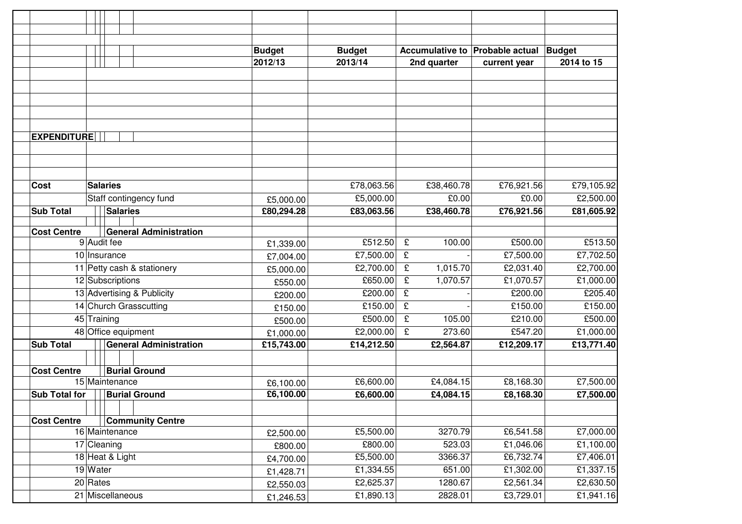|                               |                            |                         |                               | <b>Budget</b> | <b>Budget</b> | Accumulative to Probable actual |                        | <b>Budget</b>          |
|-------------------------------|----------------------------|-------------------------|-------------------------------|---------------|---------------|---------------------------------|------------------------|------------------------|
|                               |                            |                         |                               | 2012/13       | 2013/14       | 2nd quarter                     | current year           | 2014 to 15             |
|                               |                            |                         |                               |               |               |                                 |                        |                        |
|                               |                            |                         |                               |               |               |                                 |                        |                        |
|                               |                            |                         |                               |               |               |                                 |                        |                        |
|                               |                            |                         |                               |               |               |                                 |                        |                        |
| <b>EXPENDITURE</b>            |                            |                         |                               |               |               |                                 |                        |                        |
|                               |                            |                         |                               |               |               |                                 |                        |                        |
|                               |                            |                         |                               |               |               |                                 |                        |                        |
|                               |                            |                         |                               |               |               |                                 |                        |                        |
| <b>Cost</b>                   | <b>Salaries</b>            |                         |                               |               | £78,063.56    | £38,460.78                      | £76,921.56             | £79,105.92             |
|                               | Staff contingency fund     |                         |                               | £5,000.00     | £5,000.00     | $\overline{E}$ 0.00             | £0.00                  | £2,500.00              |
| <b>Sub Total</b>              |                            | <b>Salaries</b>         |                               | £80,294.28    | £83,063.56    | £38,460.78                      | £76,921.56             | £81,605.92             |
|                               |                            |                         |                               |               |               |                                 |                        |                        |
| <b>Cost Centre</b>            |                            |                         | <b>General Administration</b> |               |               |                                 |                        |                        |
|                               | 9 Audit fee                |                         |                               | £1,339.00     | £512.50       | $\mathbf f$<br>100.00           | £500.00                | £513.50                |
|                               | 10 Insurance               |                         |                               | £7,004.00     | £7,500.00     | $\mathbf f$                     | £7,500.00              | £7,702.50              |
| 11 Petty cash & stationery    |                            |                         |                               | £5,000.00     | £2,700.00     | $\mathbf f$<br>1,015.70         | £2,031.40              | £2,700.00              |
|                               | 12 Subscriptions           |                         |                               | £550.00       | £650.00       | $\mathbf f$<br>1,070.57         | £1,070.57              | £1,000.00              |
|                               | 13 Advertising & Publicity |                         |                               | £200.00       | £200.00       | $\mathbf f$                     | £200.00                | £205.40                |
|                               | 14 Church Grasscutting     |                         |                               | £150.00       | £150.00       | £                               | £150.00                | £150.00                |
| 45 Training                   |                            |                         |                               | £500.00       | £500.00       | $\mathbf f$<br>105.00           | £210.00                | £500.00                |
| 48 Office equipment           |                            |                         |                               | £1,000.00     | £2,000.00     | $\mathbf f$<br>273.60           | £547.20                | £1,000.00              |
| <b>Sub Total</b>              |                            |                         | <b>General Administration</b> | £15,743.00    | £14,212.50    | £2,564.87                       | £12,209.17             | £13,771.40             |
|                               |                            |                         |                               |               |               |                                 |                        |                        |
| <b>Cost Centre</b>            |                            |                         | <b>Burial Ground</b>          |               |               |                                 |                        |                        |
|                               |                            | 15 Maintenance          |                               | £6,100.00     | £6,600.00     | £4,084.15                       | £8,168.30              | £7,500.00              |
| <b>Sub Total for</b>          |                            |                         | <b>Burial Ground</b>          | £6,100.00     | £6,600.00     | £4,084.15                       | £8,168.30              | £7,500.00              |
|                               |                            |                         |                               |               |               |                                 |                        |                        |
| <b>Cost Centre</b>            |                            | <b>Community Centre</b> |                               |               |               |                                 |                        |                        |
| 16 Maintenance<br>17 Cleaning |                            |                         |                               | £2,500.00     | £5,500.00     | 3270.79                         | £6,541.58              | £7,000.00<br>£1,100.00 |
|                               |                            |                         |                               | £800.00       | £800.00       | 523.03                          | £1,046.06<br>£6,732.74 |                        |
| 18 Heat & Light               |                            |                         |                               | £4,700.00     | £5,500.00     | 3366.37                         |                        | £7,406.01              |
|                               | 19 Water                   |                         |                               | £1,428.71     | £1,334.55     | 651.00                          | £1,302.00              | £1,337.15              |
| $20$ Rates                    |                            |                         |                               | £2,550.03     | £2,625.37     | 1280.67                         | £2,561.34              | £2,630.50              |
| 21 Miscellaneous              |                            |                         |                               | £1,246.53     | £1,890.13     | 2828.01                         | £3,729.01              | £1,941.16              |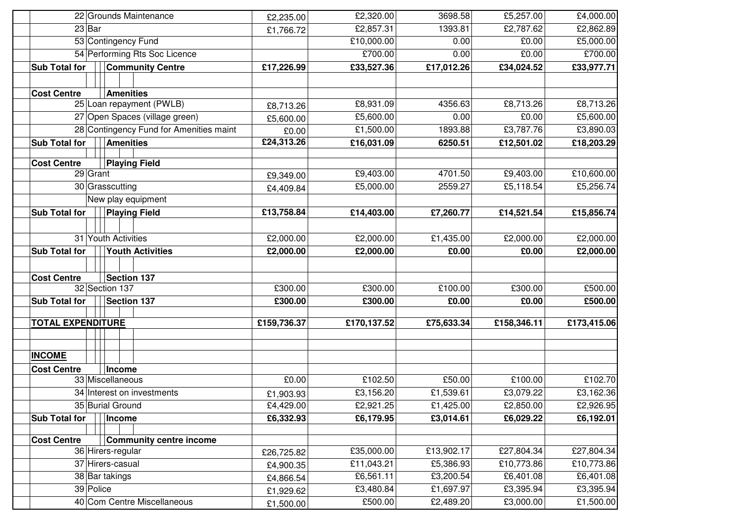| 22 Grounds Maintenance                                   | £2,235.00   | £2,320.00   | 3698.58    | £5,257.00   | £4,000.00   |
|----------------------------------------------------------|-------------|-------------|------------|-------------|-------------|
| $23$ Bar                                                 | £1,766.72   | £2,857.31   | 1393.81    | £2,787.62   | £2,862.89   |
| 53 Contingency Fund                                      |             | £10,000.00  | 0.00       | £0.00       | £5,000.00   |
| 54 Performing Rts Soc Licence                            |             | £700.00     | 0.00       | £0.00       | £700.00     |
| <b>Sub Total for</b><br><b>Community Centre</b>          | £17,226.99  | £33,527.36  | £17,012.26 | £34,024.52  | £33,977.71  |
|                                                          |             |             |            |             |             |
| <b>Cost Centre</b><br><b>Amenities</b>                   |             |             |            |             |             |
| 25 Loan repayment (PWLB)                                 | £8,713.26   | £8,931.09   | 4356.63    | £8,713.26   | £8,713.26   |
| 27 Open Spaces (village green)                           | £5,600.00   | £5,600.00   | 0.00       | £0.00       | £5,600.00   |
| 28 Contingency Fund for Amenities maint                  | £0.00       | £1,500.00   | 1893.88    | £3,787.76   | £3,890.03   |
| Sub Total for<br><b>Amenities</b>                        | £24,313.26  | £16,031.09  | 6250.51    | £12,501.02  | £18,203.29  |
|                                                          |             |             |            |             |             |
| <b>Cost Centre</b><br><b>Playing Field</b><br>$29$ Grant |             |             |            |             |             |
|                                                          | £9,349.00   | £9,403.00   | 4701.50    | £9,403.00   | £10,600.00  |
| 30 Grasscutting                                          | £4,409.84   | £5,000.00   | 2559.27    | £5,118.54   | £5,256.74   |
| New play equipment                                       |             |             |            |             |             |
| <b>Playing Field</b><br><b>Sub Total for</b>             | £13,758.84  | £14,403.00  | £7,260.77  | £14,521.54  | £15,856.74  |
|                                                          |             |             |            |             |             |
| 31 Youth Activities                                      | £2,000.00   | £2,000.00   | £1,435.00  | £2,000.00   | £2,000.00   |
| <b>Sub Total for</b><br><b>Youth Activities</b>          | £2,000.00   | £2,000.00   | £0.00      | £0.00       | £2,000.00   |
| <b>Section 137</b><br><b>Cost Centre</b>                 |             |             |            |             |             |
| 32 Section 137                                           | £300.00     | £300.00     | £100.00    | £300.00     | £500.00     |
| Sub Total for<br><b>Section 137</b>                      | £300.00     | £300.00     | £0.00      | £0.00       | £500.00     |
|                                                          |             |             |            |             |             |
| <b>TOTAL EXPENDITURE</b>                                 | £159,736.37 | £170,137.52 | £75,633.34 | £158,346.11 | £173,415.06 |
|                                                          |             |             |            |             |             |
|                                                          |             |             |            |             |             |
| <b>INCOME</b>                                            |             |             |            |             |             |
| <b>Cost Centre</b><br>Income<br>33 Miscellaneous         | £0.00       | £102.50     | £50.00     | £100.00     | £102.70     |
| 34 Interest on investments                               |             | £3,156.20   | £1,539.61  | £3,079.22   | £3,162.36   |
| 35 Burial Ground                                         | £1,903.93   |             |            |             | £2,926.95   |
|                                                          | £4,429.00   | £2,921.25   | £1,425.00  | £2,850.00   |             |
| Income<br>Sub Total for                                  | £6,332.93   | £6,179.95   | £3,014.61  | £6,029.22   | £6,192.01   |
| <b>Community centre income</b><br><b>Cost Centre</b>     |             |             |            |             |             |
| 36 Hirers-regular                                        | £26,725.82  | £35,000.00  | £13,902.17 | £27,804.34  | £27,804.34  |
| 37 Hirers-casual                                         | £4,900.35   | £11,043.21  | £5,386.93  | £10,773.86  | £10,773.86  |
| 38 Bar takings                                           | £4,866.54   | £6,561.11   | £3,200.54  | £6,401.08   | £6,401.08   |
| 39 Police                                                | £1,929.62   | £3,480.84   | £1,697.97  | £3,395.94   | £3,395.94   |
|                                                          |             |             |            |             |             |